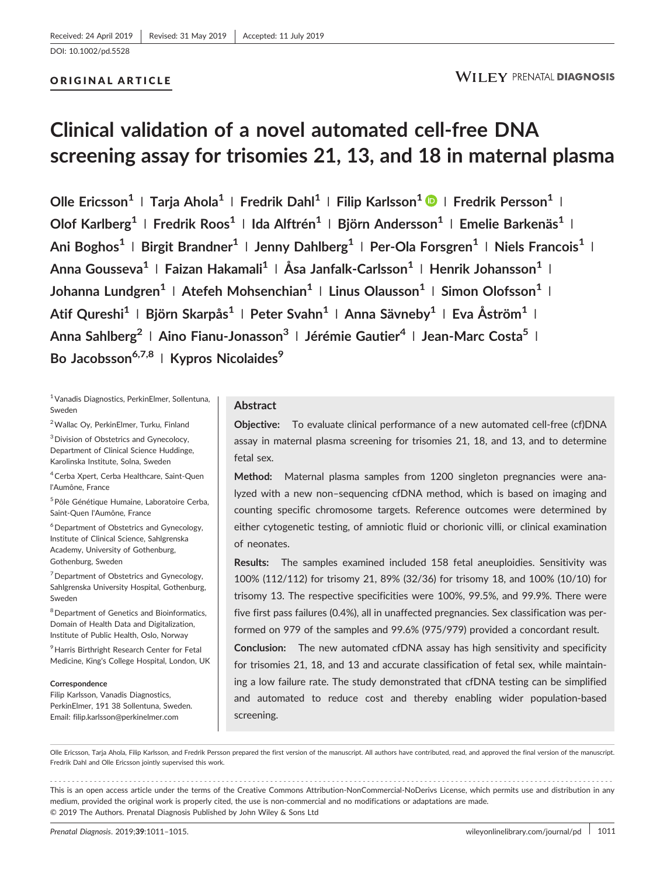# ORIGINAL ARTICLE

# **Clinical validation of a novel automated cell‐free DNA screening assay for trisomies 21, 13, and 18 in maternal plasma**

**Olle Ericsson<sup>1</sup> <sup>|</sup> Tarja Ahola<sup>1</sup> <sup>|</sup> Fredrik Dahl<sup>1</sup> <sup>|</sup> Filip Karlsson1 <sup>|</sup> Fredrik Persson1 <sup>|</sup> Olof Karlberg1 <sup>|</sup> Fredrik Roos1 <sup>|</sup> Ida Alftrén1 <sup>|</sup> Björn Andersson<sup>1</sup> <sup>|</sup> Emelie Barkenäs1 <sup>|</sup> Ani Boghos<sup>1</sup> <sup>|</sup> Birgit Brandner1 <sup>|</sup> Jenny Dahlberg<sup>1</sup> <sup>|</sup> Per‐Ola Forsgren<sup>1</sup> <sup>|</sup> Niels Francois<sup>1</sup> <sup>|</sup> Anna Gousseva1 <sup>|</sup> Faizan Hakamali1 <sup>|</sup> Åsa Janfalk‐Carlsson<sup>1</sup> <sup>|</sup> Henrik Johansson1 <sup>|</sup> Johanna Lundgren1 <sup>|</sup> Atefeh Mohsenchian1 <sup>|</sup> Linus Olausson1 <sup>|</sup> Simon Olofsson<sup>1</sup> <sup>|</sup> Atif Qureshi1 <sup>|</sup> Björn Skarpås1 <sup>|</sup> Peter Svahn<sup>1</sup> <sup>|</sup> Anna Sävneby<sup>1</sup> <sup>|</sup> Eva Åström1 <sup>|</sup> Anna Sahlberg2 <sup>|</sup> Aino Fianu‐Jonasson3 <sup>|</sup> Jérémie Gautier4 <sup>|</sup> Jean‐Marc Costa5 <sup>|</sup> Bo Jacobsson6,7,8 <sup>|</sup> Kypros Nicolaides<sup>9</sup>**

1Vanadis Diagnostics, PerkinElmer, Sollentuna, Sweden

2Wallac Oy, PerkinElmer, Turku, Finland 3Division of Obstetrics and Gynecolocy, Department of Clinical Science Huddinge, Karolinska Institute, Solna, Sweden

4Cerba Xpert, Cerba Healthcare, Saint‐Quen l'Aumône, France

<sup>5</sup> Pôle Génétique Humaine, Laboratoire Cerba, Saint‐Quen l'Aumône, France

<sup>6</sup> Department of Obstetrics and Gynecology, Institute of Clinical Science, Sahlgrenska Academy, University of Gothenburg, Gothenburg, Sweden

<sup>7</sup> Department of Obstetrics and Gynecology, Sahlgrenska University Hospital, Gothenburg, Sweden

<sup>8</sup> Department of Genetics and Bioinformatics, Domain of Health Data and Digitalization, Institute of Public Health, Oslo, Norway

<sup>9</sup> Harris Birthright Research Center for Fetal Medicine, King's College Hospital, London, UK

#### **Correspondence**

Filip Karlsson, Vanadis Diagnostics, PerkinElmer, 191 38 Sollentuna, Sweden. Email: filip.karlsson@perkinelmer.com

## **Abstract**

**Objective:** To evaluate clinical performance of a new automated cell-free (cf)DNA assay in maternal plasma screening for trisomies 21, 18, and 13, and to determine fetal sex.

**Method:** Maternal plasma samples from 1200 singleton pregnancies were analyzed with a new non–sequencing cfDNA method, which is based on imaging and counting specific chromosome targets. Reference outcomes were determined by either cytogenetic testing, of amniotic fluid or chorionic villi, or clinical examination of neonates.

**Results:** The samples examined included 158 fetal aneuploidies. Sensitivity was 100% (112/112) for trisomy 21, 89% (32/36) for trisomy 18, and 100% (10/10) for trisomy 13. The respective specificities were 100%, 99.5%, and 99.9%. There were five first pass failures (0.4%), all in unaffected pregnancies. Sex classification was performed on 979 of the samples and 99.6% (975/979) provided a concordant result.

**Conclusion:** The new automated cfDNA assay has high sensitivity and specificity for trisomies 21, 18, and 13 and accurate classification of fetal sex, while maintaining a low failure rate. The study demonstrated that cfDNA testing can be simplified and automated to reduce cost and thereby enabling wider population‐based screening.

Olle Ericsson, Tarja Ahola, Filip Karlsson, and Fredrik Persson prepared the first version of the manuscript. All authors have contributed, read, and approved the final version of the manuscript. Fredrik Dahl and Olle Ericsson jointly supervised this work.

------------------------------------------------------------------------------------------------------------------------------- - This is an open access article under the terms of the [Creative Commons Attribution](http://creativecommons.org/licenses/by-nc-nd/4.0/)‐NonCommercial‐NoDerivs License, which permits use and distribution in any medium, provided the original work is properly cited, the use is non‐commercial and no modifications or adaptations are made. © 2019 The Authors. Prenatal Diagnosis Published by John Wiley & Sons Ltd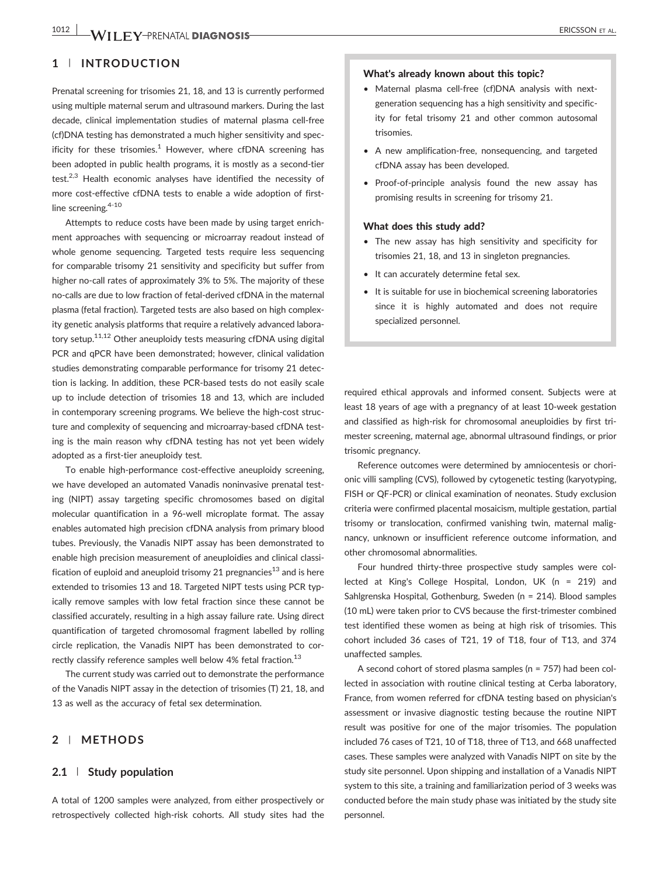# **1** | **INTRODUCTION**

Prenatal screening for trisomies 21, 18, and 13 is currently performed using multiple maternal serum and ultrasound markers. During the last decade, clinical implementation studies of maternal plasma cell‐free (cf)DNA testing has demonstrated a much higher sensitivity and specificity for these trisomies. $1$  However, where cfDNA screening has been adopted in public health programs, it is mostly as a second-tier test.<sup>2,3</sup> Health economic analyses have identified the necessity of more cost-effective cfDNA tests to enable a wide adoption of firstline screening.<sup>4-10</sup>

Attempts to reduce costs have been made by using target enrichment approaches with sequencing or microarray readout instead of whole genome sequencing. Targeted tests require less sequencing for comparable trisomy 21 sensitivity and specificity but suffer from higher no-call rates of approximately 3% to 5%. The majority of these no‐calls are due to low fraction of fetal‐derived cfDNA in the maternal plasma (fetal fraction). Targeted tests are also based on high complexity genetic analysis platforms that require a relatively advanced laboratory setup.11,12 Other aneuploidy tests measuring cfDNA using digital PCR and qPCR have been demonstrated; however, clinical validation studies demonstrating comparable performance for trisomy 21 detection is lacking. In addition, these PCR‐based tests do not easily scale up to include detection of trisomies 18 and 13, which are included in contemporary screening programs. We believe the high-cost structure and complexity of sequencing and microarray‐based cfDNA testing is the main reason why cfDNA testing has not yet been widely adopted as a first-tier aneuploidy test.

To enable high‐performance cost‐effective aneuploidy screening, we have developed an automated Vanadis noninvasive prenatal testing (NIPT) assay targeting specific chromosomes based on digital molecular quantification in a 96‐well microplate format. The assay enables automated high precision cfDNA analysis from primary blood tubes. Previously, the Vanadis NIPT assay has been demonstrated to enable high precision measurement of aneuploidies and clinical classification of euploid and aneuploid trisomy 21 pregnancies<sup>13</sup> and is here extended to trisomies 13 and 18. Targeted NIPT tests using PCR typically remove samples with low fetal fraction since these cannot be classified accurately, resulting in a high assay failure rate. Using direct quantification of targeted chromosomal fragment labelled by rolling circle replication, the Vanadis NIPT has been demonstrated to correctly classify reference samples well below 4% fetal fraction.<sup>13</sup>

The current study was carried out to demonstrate the performance of the Vanadis NIPT assay in the detection of trisomies (T) 21, 18, and 13 as well as the accuracy of fetal sex determination.

## **2** | **METHODS**

## **2.1** | **Study population**

A total of 1200 samples were analyzed, from either prospectively or retrospectively collected high‐risk cohorts. All study sites had the

## What's already known about this topic?

- Maternal plasma cell‐free (cf)DNA analysis with next‐ generation sequencing has a high sensitivity and specificity for fetal trisomy 21 and other common autosomal trisomies.
- A new amplification‐free, nonsequencing, and targeted cfDNA assay has been developed.
- Proof‐of‐principle analysis found the new assay has promising results in screening for trisomy 21.

#### What does this study add?

- The new assay has high sensitivity and specificity for trisomies 21, 18, and 13 in singleton pregnancies.
- It can accurately determine fetal sex.
- It is suitable for use in biochemical screening laboratories since it is highly automated and does not require specialized personnel.

required ethical approvals and informed consent. Subjects were at least 18 years of age with a pregnancy of at least 10‐week gestation and classified as high-risk for chromosomal aneuploidies by first trimester screening, maternal age, abnormal ultrasound findings, or prior trisomic pregnancy.

Reference outcomes were determined by amniocentesis or chorionic villi sampling (CVS), followed by cytogenetic testing (karyotyping, FISH or QF‐PCR) or clinical examination of neonates. Study exclusion criteria were confirmed placental mosaicism, multiple gestation, partial trisomy or translocation, confirmed vanishing twin, maternal malignancy, unknown or insufficient reference outcome information, and other chromosomal abnormalities.

Four hundred thirty-three prospective study samples were collected at King's College Hospital, London, UK (n = 219) and Sahlgrenska Hospital, Gothenburg, Sweden (n = 214). Blood samples (10 mL) were taken prior to CVS because the first-trimester combined test identified these women as being at high risk of trisomies. This cohort included 36 cases of T21, 19 of T18, four of T13, and 374 unaffected samples.

A second cohort of stored plasma samples (n = 757) had been collected in association with routine clinical testing at Cerba laboratory, France, from women referred for cfDNA testing based on physician's assessment or invasive diagnostic testing because the routine NIPT result was positive for one of the major trisomies. The population included 76 cases of T21, 10 of T18, three of T13, and 668 unaffected cases. These samples were analyzed with Vanadis NIPT on site by the study site personnel. Upon shipping and installation of a Vanadis NIPT system to this site, a training and familiarization period of 3 weeks was conducted before the main study phase was initiated by the study site personnel.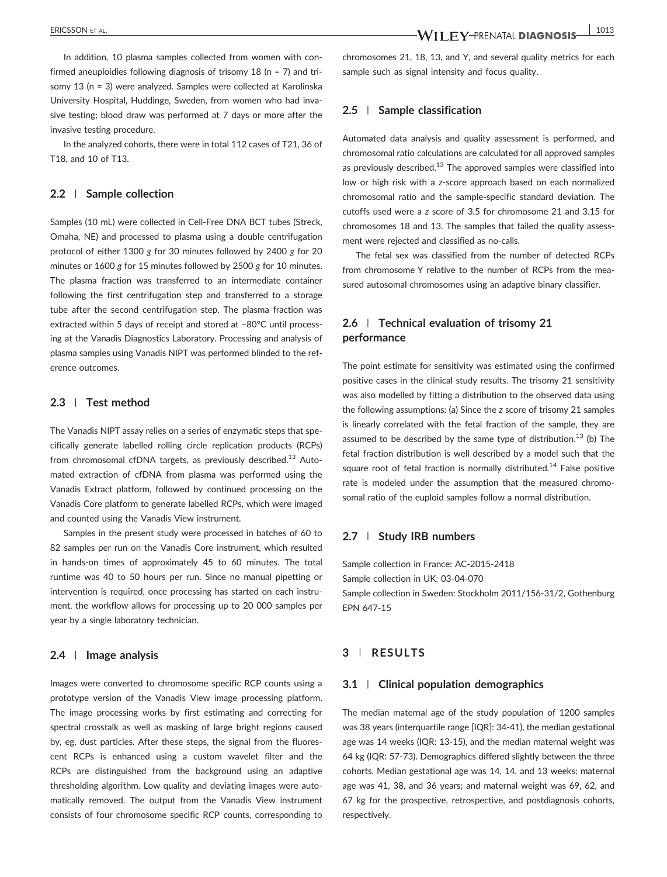In addition, 10 plasma samples collected from women with confirmed aneuploidies following diagnosis of trisomy 18 (n = 7) and trisomy 13 (n = 3) were analyzed. Samples were collected at Karolinska University Hospital, Huddinge, Sweden, from women who had invasive testing; blood draw was performed at 7 days or more after the invasive testing procedure.

In the analyzed cohorts, there were in total 112 cases of T21, 36 of T18, and 10 of T13.

### **2.2** | **Sample collection**

Samples (10 mL) were collected in Cell-Free DNA BCT tubes (Streck, Omaha, NE) and processed to plasma using a double centrifugation protocol of either 1300 *g* for 30 minutes followed by 2400 *g* for 20 minutes or 1600 *g* for 15 minutes followed by 2500 *g* for 10 minutes. The plasma fraction was transferred to an intermediate container following the first centrifugation step and transferred to a storage tube after the second centrifugation step. The plasma fraction was extracted within 5 days of receipt and stored at −80°C until processing at the Vanadis Diagnostics Laboratory. Processing and analysis of plasma samples using Vanadis NIPT was performed blinded to the reference outcomes.

## **2.3** | **Test method**

The Vanadis NIPT assay relies on a series of enzymatic steps that specifically generate labelled rolling circle replication products (RCPs) from chromosomal cfDNA targets, as previously described.<sup>13</sup> Automated extraction of cfDNA from plasma was performed using the Vanadis Extract platform, followed by continued processing on the Vanadis Core platform to generate labelled RCPs, which were imaged and counted using the Vanadis View instrument.

Samples in the present study were processed in batches of 60 to 82 samples per run on the Vanadis Core instrument, which resulted in hands‐on times of approximately 45 to 60 minutes. The total runtime was 40 to 50 hours per run. Since no manual pipetting or intervention is required, once processing has started on each instrument, the workflow allows for processing up to 20 000 samples per year by a single laboratory technician.

### **2.4** | **Image analysis**

Images were converted to chromosome specific RCP counts using a prototype version of the Vanadis View image processing platform. The image processing works by first estimating and correcting for spectral crosstalk as well as masking of large bright regions caused by, eg, dust particles. After these steps, the signal from the fluorescent RCPs is enhanced using a custom wavelet filter and the RCPs are distinguished from the background using an adaptive thresholding algorithm. Low quality and deviating images were automatically removed. The output from the Vanadis View instrument consists of four chromosome specific RCP counts, corresponding to

chromosomes 21, 18, 13, and Y, and several quality metrics for each sample such as signal intensity and focus quality.

#### **2.5** | **Sample classification**

Automated data analysis and quality assessment is performed, and chromosomal ratio calculations are calculated for all approved samples as previously described. $13$  The approved samples were classified into low or high risk with a *z*‐score approach based on each normalized chromosomal ratio and the sample‐specific standard deviation. The cutoffs used were a *z* score of 3.5 for chromosome 21 and 3.15 for chromosomes 18 and 13. The samples that failed the quality assessment were rejected and classified as no‐calls.

The fetal sex was classified from the number of detected RCPs from chromosome Y relative to the number of RCPs from the measured autosomal chromosomes using an adaptive binary classifier.

# **2.6** | **Technical evaluation of trisomy 21 performance**

The point estimate for sensitivity was estimated using the confirmed positive cases in the clinical study results. The trisomy 21 sensitivity was also modelled by fitting a distribution to the observed data using the following assumptions: (a) Since the *z* score of trisomy 21 samples is linearly correlated with the fetal fraction of the sample, they are assumed to be described by the same type of distribution.<sup>13</sup> (b) The fetal fraction distribution is well described by a model such that the square root of fetal fraction is normally distributed.<sup>14</sup> False positive rate is modeled under the assumption that the measured chromosomal ratio of the euploid samples follow a normal distribution.

## **2.7** | **Study IRB numbers**

Sample collection in France: AC‐2015‐2418 Sample collection in UK: 03‐04‐070 Sample collection in Sweden: Stockholm 2011/156‐31/2, Gothenburg EPN 647‐15

## **3** | **RESULTS**

## **3.1** | **Clinical population demographics**

The median maternal age of the study population of 1200 samples was 38 years (interquartile range [IQR]: 34‐41), the median gestational age was 14 weeks (IQR: 13‐15), and the median maternal weight was 64 kg (IQR: 57‐73). Demographics differed slightly between the three cohorts. Median gestational age was 14, 14, and 13 weeks; maternal age was 41, 38, and 36 years; and maternal weight was 69, 62, and 67 kg for the prospective, retrospective, and postdiagnosis cohorts, respectively.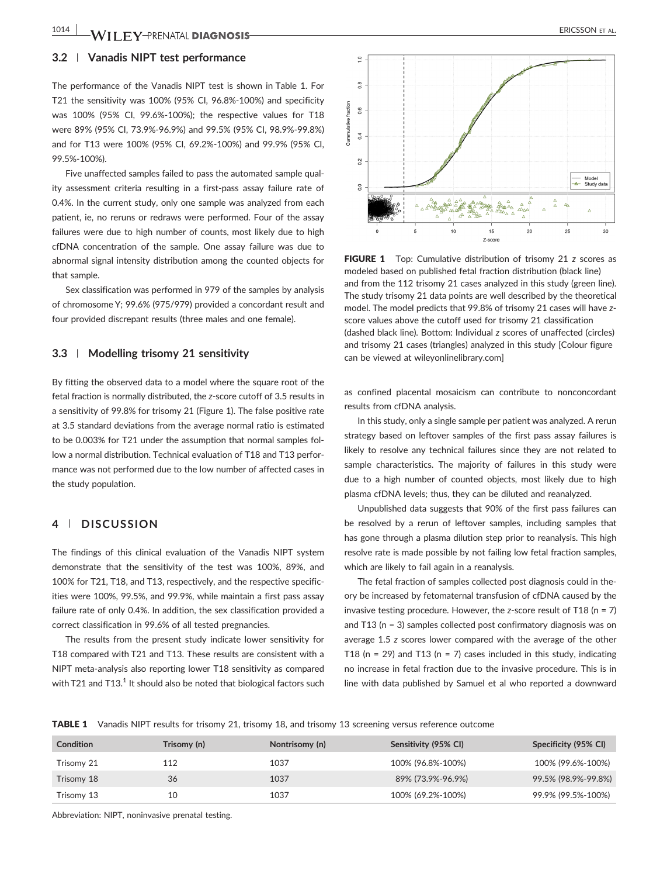## **3.2** | **Vanadis NIPT test performance**

The performance of the Vanadis NIPT test is shown in Table 1. For T21 the sensitivity was 100% (95% CI, 96.8%‐100%) and specificity was 100% (95% CI, 99.6%‐100%); the respective values for T18 were 89% (95% CI, 73.9%‐96.9%) and 99.5% (95% CI, 98.9%‐99.8%) and for T13 were 100% (95% CI, 69.2%‐100%) and 99.9% (95% CI, 99.5%‐100%).

Five unaffected samples failed to pass the automated sample quality assessment criteria resulting in a first-pass assay failure rate of 0.4%. In the current study, only one sample was analyzed from each patient, ie, no reruns or redraws were performed. Four of the assay failures were due to high number of counts, most likely due to high cfDNA concentration of the sample. One assay failure was due to abnormal signal intensity distribution among the counted objects for that sample.

Sex classification was performed in 979 of the samples by analysis of chromosome Y; 99.6% (975/979) provided a concordant result and four provided discrepant results (three males and one female).

## **3.3** | **Modelling trisomy 21 sensitivity**

By fitting the observed data to a model where the square root of the fetal fraction is normally distributed, the *z*‐score cutoff of 3.5 results in a sensitivity of 99.8% for trisomy 21 (Figure 1). The false positive rate at 3.5 standard deviations from the average normal ratio is estimated to be 0.003% for T21 under the assumption that normal samples follow a normal distribution. Technical evaluation of T18 and T13 performance was not performed due to the low number of affected cases in the study population.

## **4** | **DISCUSSION**

The findings of this clinical evaluation of the Vanadis NIPT system demonstrate that the sensitivity of the test was 100%, 89%, and 100% for T21, T18, and T13, respectively, and the respective specificities were 100%, 99.5%, and 99.9%, while maintain a first pass assay failure rate of only 0.4%. In addition, the sex classification provided a correct classification in 99.6% of all tested pregnancies.

The results from the present study indicate lower sensitivity for T18 compared with T21 and T13. These results are consistent with a NIPT meta‐analysis also reporting lower T18 sensitivity as compared with T21 and T13.<sup>1</sup> It should also be noted that biological factors such



FIGURE 1 Top: Cumulative distribution of trisomy 21 *z* scores as modeled based on published fetal fraction distribution (black line) and from the 112 trisomy 21 cases analyzed in this study (green line). The study trisomy 21 data points are well described by the theoretical model. The model predicts that 99.8% of trisomy 21 cases will have zscore values above the cutoff used for trisomy 21 classification (dashed black line). Bottom: Individual *z* scores of unaffected (circles) and trisomy 21 cases (triangles) analyzed in this study [Colour figure can be viewed at [wileyonlinelibrary.com\]](http://wileyonlinelibrary.com)

as confined placental mosaicism can contribute to nonconcordant results from cfDNA analysis.

In this study, only a single sample per patient was analyzed. A rerun strategy based on leftover samples of the first pass assay failures is likely to resolve any technical failures since they are not related to sample characteristics. The majority of failures in this study were due to a high number of counted objects, most likely due to high plasma cfDNA levels; thus, they can be diluted and reanalyzed.

Unpublished data suggests that 90% of the first pass failures can be resolved by a rerun of leftover samples, including samples that has gone through a plasma dilution step prior to reanalysis. This high resolve rate is made possible by not failing low fetal fraction samples, which are likely to fail again in a reanalysis.

The fetal fraction of samples collected post diagnosis could in theory be increased by fetomaternal transfusion of cfDNA caused by the invasive testing procedure. However, the *z*‐score result of T18 (n = 7) and T13 (n = 3) samples collected post confirmatory diagnosis was on average 1.5 *z* scores lower compared with the average of the other T18 ( $n = 29$ ) and T13 ( $n = 7$ ) cases included in this study, indicating no increase in fetal fraction due to the invasive procedure. This is in line with data published by Samuel et al who reported a downward

TABLE 1 Vanadis NIPT results for trisomy 21, trisomy 18, and trisomy 13 screening versus reference outcome

| Condition  | Trisomy (n) | Nontrisomy (n) | Sensitivity (95% CI) | Specificity (95% CI) |
|------------|-------------|----------------|----------------------|----------------------|
| Trisomy 21 | 112         | 1037           | 100% (96.8%-100%)    | 100% (99.6%-100%)    |
| Trisomy 18 | 36          | 1037           | 89% (73.9%-96.9%)    | 99.5% (98.9%-99.8%)  |
| Trisomy 13 | 10          | 1037           | 100% (69.2%-100%)    | 99.9% (99.5%-100%)   |

Abbreviation: NIPT, noninvasive prenatal testing.